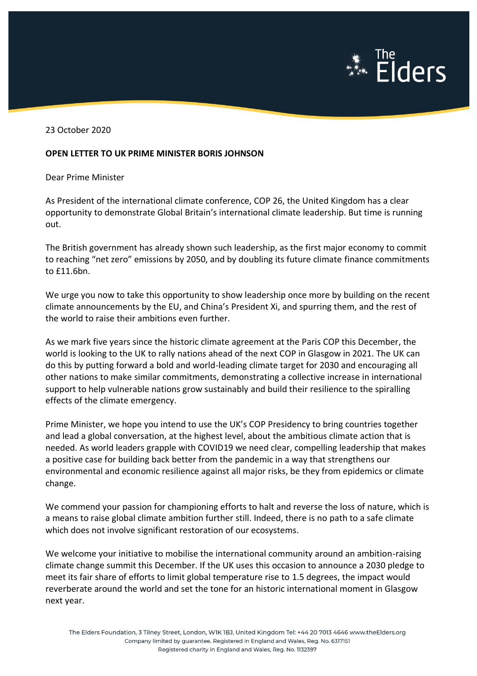

23 October 2020

## **OPEN LETTER TO UK PRIME MINISTER BORIS JOHNSON**

Dear Prime Minister

As President of the international climate conference, COP 26, the United Kingdom has a clear opportunity to demonstrate Global Britain's international climate leadership. But time is running out.

The British government has already shown such leadership, as the first major economy to commit to reaching "net zero" emissions by 2050, and by doubling its future climate finance commitments to £11.6bn.

We urge you now to take this opportunity to show leadership once more by building on the recent climate announcements by the EU, and China's President Xi, and spurring them, and the rest of the world to raise their ambitions even further.

As we mark five years since the historic climate agreement at the Paris COP this December, the world is looking to the UK to rally nations ahead of the next COP in Glasgow in 2021. The UK can do this by putting forward a bold and world-leading climate target for 2030 and encouraging all other nations to make similar commitments, demonstrating a collective increase in international support to help vulnerable nations grow sustainably and build their resilience to the spiralling effects of the climate emergency.

Prime Minister, we hope you intend to use the UK's COP Presidency to bring countries together and lead a global conversation, at the highest level, about the ambitious climate action that is needed. As world leaders grapple with COVID19 we need clear, compelling leadership that makes a positive case for building back better from the pandemic in a way that strengthens our environmental and economic resilience against all major risks, be they from epidemics or climate change.

We commend your passion for championing efforts to halt and reverse the loss of nature, which is a means to raise global climate ambition further still. Indeed, there is no path to a safe climate which does not involve significant restoration of our ecosystems.

We welcome your initiative to mobilise the international community around an ambition-raising climate change summit this December. If the UK uses this occasion to announce a 2030 pledge to meet its fair share of efforts to limit global temperature rise to 1.5 degrees, the impact would reverberate around the world and set the tone for an historic international moment in Glasgow next year.